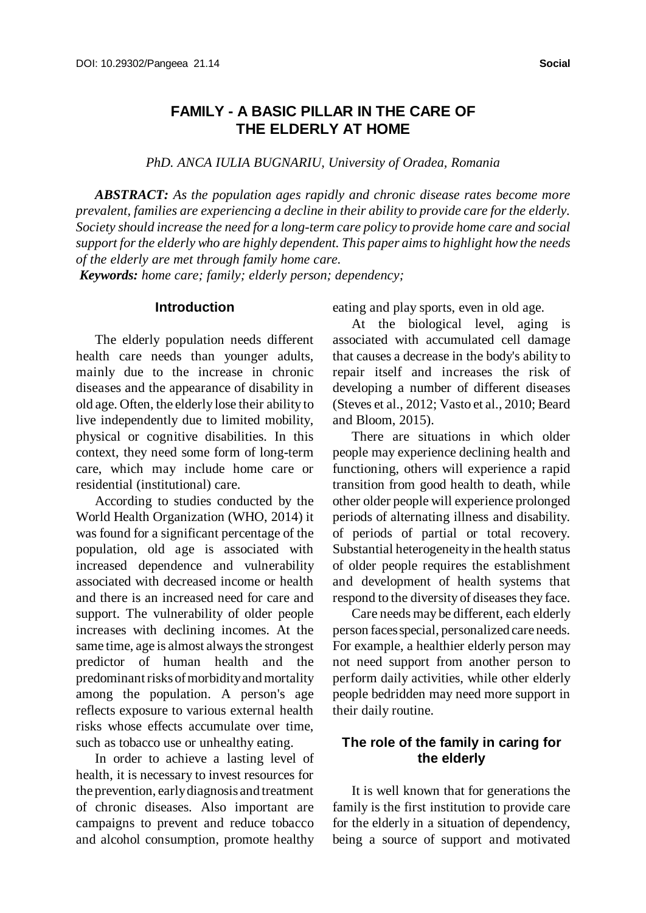# **FAMILY - A BASIC PILLAR IN THE CARE OF THE ELDERLY AT HOME**

*PhD. ANCA IULIA BUGNARIU, University of Oradea, Romania*

*ABSTRACT: As the population ages rapidly and chronic disease rates become more prevalent, families are experiencing a decline in their ability to provide care for the elderly. Society should increase the need for a long-term care policy to provide home care and social support forthe elderly who are highly dependent. This paper aimsto highlight howthe needs of the elderly are met through family home care.*

 *Keywords: home care; family; elderly person; dependency;*

#### **Introduction**

The elderly population needs different health care needs than younger adults, mainly due to the increase in chronic diseases and the appearance of disability in old age. Often, the elderly lose their ability to live independently due to limited mobility, physical or cognitive disabilities. In this context, they need some form of long-term care, which may include home care or residential (institutional) care.

According to studies conducted by the World Health Organization (WHO, 2014) it was found for a significant percentage of the population, old age is associated with increased dependence and vulnerability associated with decreased income or health and there is an increased need for care and support. The vulnerability of older people increases with declining incomes. At the same time, age is almost always the strongest predictor of human health and the predominant risks of morbidity and mortality among the population. A person's age reflects exposure to various external health risks whose effects accumulate over time, such as tobacco use or unhealthy eating.

In order to achieve a lasting level of health, it is necessary to invest resources for the prevention, earlydiagnosis and treatment of chronic diseases. Also important are campaigns to prevent and reduce tobacco and alcohol consumption, promote healthy

eating and play sports, even in old age.

At the biological level, aging is associated with accumulated cell damage that causes a decrease in the body's ability to repair itself and increases the risk of developing a number of different diseases (Steves et al., 2012; Vasto et al., 2010; Beard and Bloom, 2015).

There are situations in which older people may experience declining health and functioning, others will experience a rapid transition from good health to death, while other older people will experience prolonged periods of alternating illness and disability. of periods of partial or total recovery. Substantial heterogeneityin the health status of older people requires the establishment and development of health systems that respond to the diversity of diseases they face.

Care needs may be different, each elderly person faces special, personalized care needs. For example, a healthier elderly person may not need support from another person to perform daily activities, while other elderly people bedridden may need more support in their daily routine.

# **The role of the family in caring for the elderly**

It is well known that for generations the family is the first institution to provide care for the elderly in a situation of dependency, being a source of support and motivated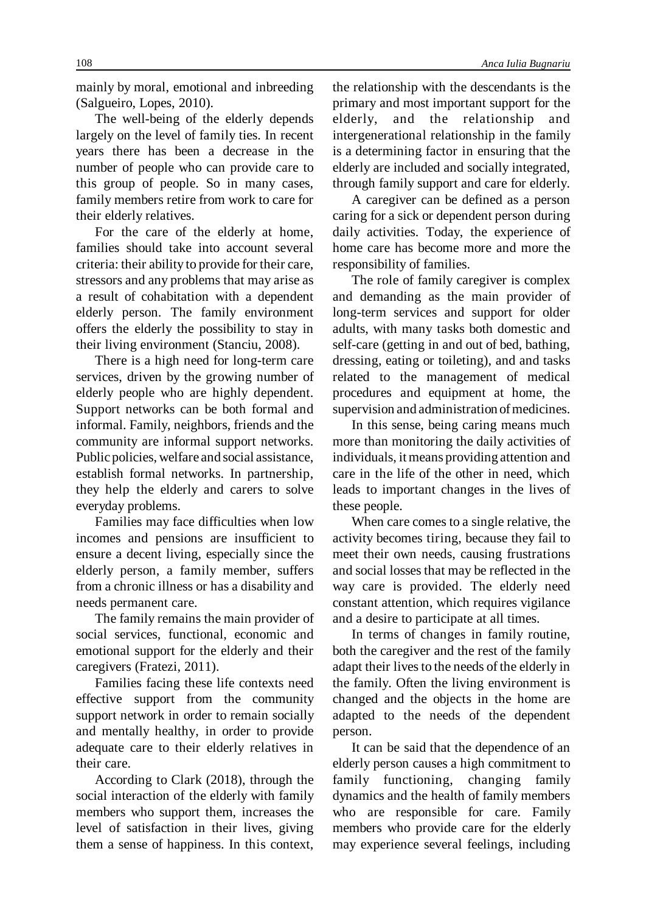mainly by moral, emotional and inbreeding (Salgueiro, Lopes, 2010).

The well-being of the elderly depends largely on the level of family ties. In recent years there has been a decrease in the number of people who can provide care to this group of people. So in many cases, family members retire from work to care for their elderly relatives.

For the care of the elderly at home, families should take into account several criteria: their ability to provide for their care, stressors and any problems that may arise as a result of cohabitation with a dependent elderly person. The family environment offers the elderly the possibility to stay in their living environment (Stanciu, 2008).

There is a high need for long-term care services, driven by the growing number of elderly people who are highly dependent. Support networks can be both formal and informal. Family, neighbors, friends and the community are informal support networks. Public policies, welfare and social assistance, establish formal networks. In partnership, they help the elderly and carers to solve everyday problems.

Families may face difficulties when low incomes and pensions are insufficient to ensure a decent living, especially since the elderly person, a family member, suffers from a chronic illness or has a disability and needs permanent care.

The family remains the main provider of social services, functional, economic and emotional support for the elderly and their caregivers (Fratezi, 2011).

Families facing these life contexts need effective support from the community support network in order to remain socially and mentally healthy, in order to provide adequate care to their elderly relatives in their care.

According to Clark (2018), through the social interaction of the elderly with family members who support them, increases the level of satisfaction in their lives, giving them a sense of happiness. In this context,

the relationship with the descendants is the primary and most important support for the elderly, and the relationship and intergenerational relationship in the family is a determining factor in ensuring that the elderly are included and socially integrated, through family support and care for elderly.

A caregiver can be defined as a person caring for a sick or dependent person during daily activities. Today, the experience of home care has become more and more the responsibility of families.

The role of family caregiver is complex and demanding as the main provider of long-term services and support for older adults, with many tasks both domestic and self-care (getting in and out of bed, bathing, dressing, eating or toileting), and and tasks related to the management of medical procedures and equipment at home, the supervision and administration of medicines.

In this sense, being caring means much more than monitoring the daily activities of individuals, itmeans providing attention and care in the life of the other in need, which leads to important changes in the lives of these people.

When care comes to a single relative, the activity becomes tiring, because they fail to meet their own needs, causing frustrations and social losses that may be reflected in the way care is provided. The elderly need constant attention, which requires vigilance and a desire to participate at all times.

In terms of changes in family routine, both the caregiver and the rest of the family adapt their lives to the needs of the elderly in the family. Often the living environment is changed and the objects in the home are adapted to the needs of the dependent person.

It can be said that the dependence of an elderly person causes a high commitment to family functioning, changing family dynamics and the health of family members who are responsible for care. Family members who provide care for the elderly may experience several feelings, including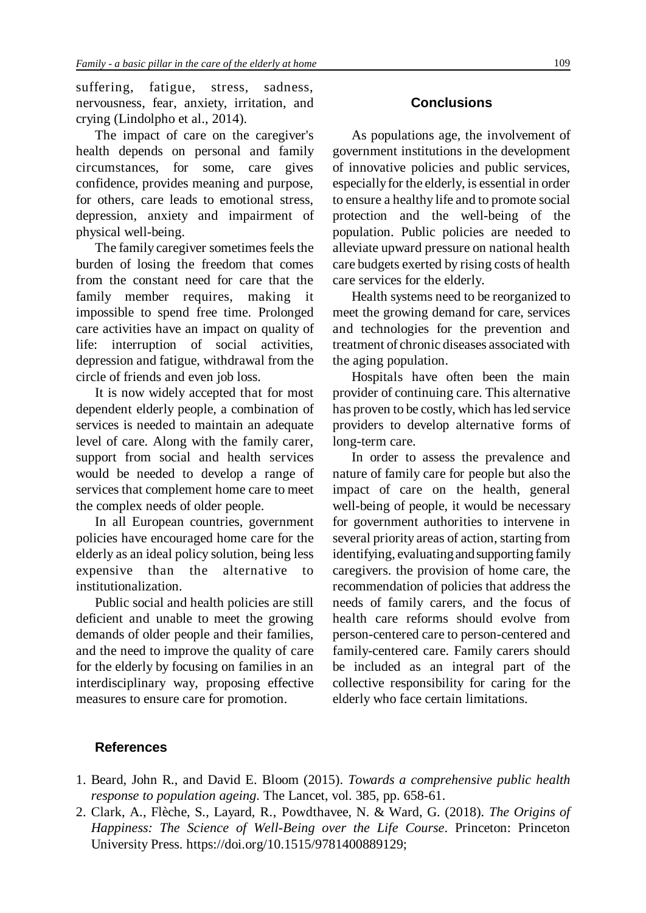suffering, fatigue, stress, sadness, nervousness, fear, anxiety, irritation, and crying (Lindolpho et al., 2014).

The impact of care on the caregiver's health depends on personal and family circumstances, for some, care gives confidence, provides meaning and purpose, for others, care leads to emotional stress, depression, anxiety and impairment of physical well-being.

The family caregiver sometimes feels the burden of losing the freedom that comes from the constant need for care that the family member requires, making it impossible to spend free time. Prolonged care activities have an impact on quality of life: interruption of social activities, depression and fatigue, withdrawal from the circle of friends and even job loss.

It is now widely accepted that for most dependent elderly people, a combination of services is needed to maintain an adequate level of care. Along with the family carer, support from social and health services would be needed to develop a range of services that complement home care to meet the complex needs of older people.

In all European countries, government policies have encouraged home care for the elderly as an ideal policy solution, being less expensive than the alternative to institutionalization.

Public social and health policies are still deficient and unable to meet the growing demands of older people and their families, and the need to improve the quality of care for the elderly by focusing on families in an interdisciplinary way, proposing effective measures to ensure care for promotion.

## **Conclusions**

As populations age, the involvement of government institutions in the development of innovative policies and public services, especiallyfor the elderly, is essential in order to ensure a healthy life and to promote social protection and the well-being of the population. Public policies are needed to alleviate upward pressure on national health care budgets exerted by rising costs of health care services for the elderly.

Health systems need to be reorganized to meet the growing demand for care, services and technologies for the prevention and treatment of chronic diseases associated with the aging population.

Hospitals have often been the main provider of continuing care. This alternative has proven to be costly, which has led service providers to develop alternative forms of long-term care.

In order to assess the prevalence and nature of family care for people but also the impact of care on the health, general well-being of people, it would be necessary for government authorities to intervene in several priority areas of action, starting from identifying, evaluating and supporting family caregivers. the provision of home care, the recommendation of policies that address the needs of family carers, and the focus of health care reforms should evolve from person-centered care to person-centered and family-centered care. Family carers should be included as an integral part of the collective responsibility for caring for the elderly who face certain limitations.

## **References**

- 1. Beard, John R., and David E. Bloom (2015). *Towards a comprehensive public health response to population ageing*. The Lancet, vol. 385, pp. 658-61.
- 2. Clark, A., Flèche, S., Layard, R., Powdthavee, N. & Ward, G. (2018). *The Origins of Happiness: The Science of Well-Being over the Life Course*. Princeton: Princeton University Press. https://doi.org/10.1515/9781400889129;